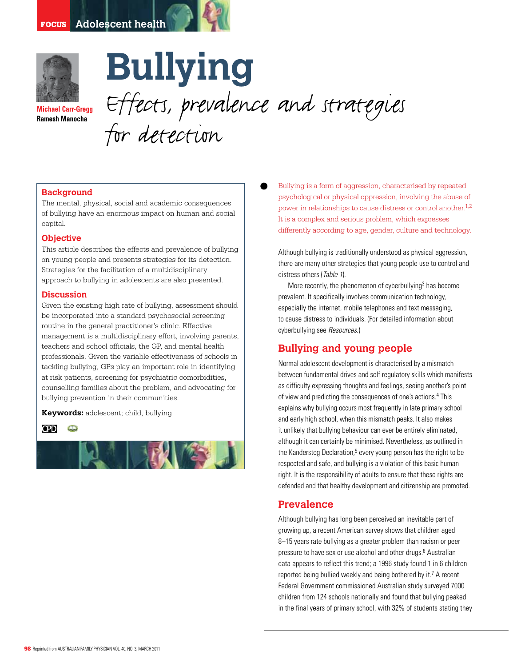

**Michael Carr-Gregg Ramesh Manocha**

**Bullying** Effects, prevalence and strategies for detection

## **Background**

The mental, physical, social and academic consequences of bullying have an enormous impact on human and social capital.

### **Objective**

This article describes the effects and prevalence of bullying on young people and presents strategies for its detection. Strategies for the facilitation of a multidisciplinary approach to bullying in adolescents are also presented.

### **Discussion**

Given the existing high rate of bullying, assessment should be incorporated into a standard psychosocial screening routine in the general practitioner's clinic. Effective management is a multidisciplinary effort, involving parents, teachers and school officials, the GP, and mental health professionals. Given the variable effectiveness of schools in tackling bullying, GPs play an important role in identifying at risk patients, screening for psychiatric comorbidities, counselling families about the problem, and advocating for bullying prevention in their communities.

**Keywords:** adolescent; child, bullying





Bullying is a form of aggression, characterised by repeated psychological or physical oppression, involving the abuse of power in relationships to cause distress or control another.<sup>1,2</sup> It is a complex and serious problem, which expresses differently according to age, gender, culture and technology.

Although bullying is traditionally understood as physical aggression, there are many other strategies that young people use to control and distress others (Table 1).

More recently, the phenomenon of cyberbullying<sup>3</sup> has become prevalent. It specifically involves communication technology, especially the internet, mobile telephones and text messaging, to cause distress to individuals. (For detailed information about cyberbullying see Resources.)

# **Bullying and young people**

Normal adolescent development is characterised by a mismatch between fundamental drives and self regulatory skills which manifests as difficulty expressing thoughts and feelings, seeing another's point of view and predicting the consequences of one's actions.4 This explains why bullying occurs most frequently in late primary school and early high school, when this mismatch peaks. It also makes it unlikely that bullying behaviour can ever be entirely eliminated, although it can certainly be minimised. Nevertheless, as outlined in the Kandersteg Declaration,<sup>5</sup> every young person has the right to be respected and safe, and bullying is a violation of this basic human right. It is the responsibility of adults to ensure that these rights are defended and that healthy development and citizenship are promoted.

## **Prevalence**

Although bullying has long been perceived an inevitable part of growing up, a recent American survey shows that children aged 8–15 years rate bullying as a greater problem than racism or peer pressure to have sex or use alcohol and other drugs.<sup>6</sup> Australian data appears to reflect this trend; a 1996 study found 1 in 6 children reported being bullied weekly and being bothered by it.<sup>7</sup> A recent Federal Government commissioned Australian study surveyed 7000 children from 124 schools nationally and found that bullying peaked in the final years of primary school, with 32% of students stating they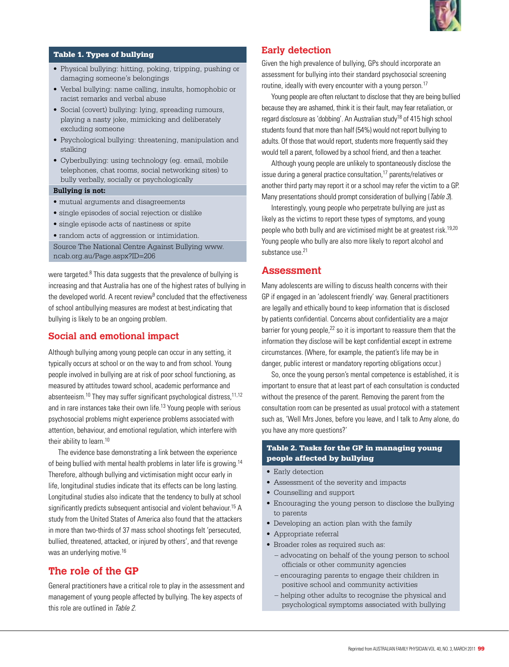

## Table 1. Types of bullying

- Physical bullying: hitting, poking, tripping, pushing or damaging someone's belongings
- Verbal bullying: name calling, insults, homophobic or racist remarks and verbal abuse
- Social (covert) bullying: lying, spreading rumours, playing a nasty joke, mimicking and deliberately excluding someone
- Psychological bullying: threatening, manipulation and stalking
- • Cyberbullying: using technology (eg. email, mobile telephones, chat rooms, social networking sites) to bully verbally, socially or psychologically

### **Bullying is not:**

- mutual arguments and disagreements
- single episodes of social rejection or dislike
- single episode acts of nastiness or spite
- random acts of aggression or intimidation.

Source The National Centre Against Bullying www. ncab.org.au/Page.aspx?ID=206

were targeted.<sup>8</sup> This data suggests that the prevalence of bullying is increasing and that Australia has one of the highest rates of bullying in the developed world. A recent review<sup>9</sup> concluded that the effectiveness of school antibullying measures are modest at best,indicating that bullying is likely to be an ongoing problem.

# **Social and emotional impact**

Although bullying among young people can occur in any setting, it typically occurs at school or on the way to and from school. Young people involved in bullying are at risk of poor school functioning, as measured by attitudes toward school, academic performance and absenteeism.<sup>10</sup> They may suffer significant psychological distress.<sup>11,12</sup> and in rare instances take their own life.<sup>13</sup> Young people with serious psychosocial problems might experience problems associated with attention, behaviour, and emotional regulation, which interfere with their ability to learn.<sup>10</sup>

 The evidence base demonstrating a link between the experience of being bullied with mental health problems in later life is growing.14 Therefore, although bullying and victimisation might occur early in life, longitudinal studies indicate that its effects can be long lasting. Longitudinal studies also indicate that the tendency to bully at school significantly predicts subsequent antisocial and violent behaviour.15 A study from the United States of America also found that the attackers in more than two-thirds of 37 mass school shootings felt 'persecuted, bullied, threatened, attacked, or injured by others', and that revenge was an underlying motive.<sup>16</sup>

# **The role of the GP**

General practitioners have a critical role to play in the assessment and management of young people affected by bullying. The key aspects of this role are outlined in Table 2.

# **Early detection**

Given the high prevalence of bullying, GPs should incorporate an assessment for bullying into their standard psychosocial screening routine, ideally with every encounter with a young person.<sup>17</sup>

 Young people are often reluctant to disclose that they are being bullied because they are ashamed, think it is their fault, may fear retaliation, or regard disclosure as 'dobbing'. An Australian study<sup>18</sup> of 415 high school students found that more than half (54%) would not report bullying to adults. Of those that would report, students more frequently said they would tell a parent, followed by a school friend, and then a teacher.

Although young people are unlikely to spontaneously disclose the issue during a general practice consultation,<sup>17</sup> parents/relatives or another third party may report it or a school may refer the victim to a GP. Many presentations should prompt consideration of bullying (Table 3).

 Interestingly, young people who perpetrate bullying are just as likely as the victims to report these types of symptoms, and young people who both bully and are victimised might be at greatest risk.19,20 Young people who bully are also more likely to report alcohol and substance use.<sup>21</sup>

# **Assessment**

Many adolescents are willing to discuss health concerns with their GP if engaged in an 'adolescent friendly' way. General practitioners are legally and ethically bound to keep information that is disclosed by patients confidential. Concerns about confidentiality are a major barrier for young people,<sup>22</sup> so it is important to reassure them that the information they disclose will be kept confidential except in extreme circumstances. (Where, for example, the patient's life may be in danger, public interest or mandatory reporting obligations occur.)

 So, once the young person's mental competence is established, it is important to ensure that at least part of each consultation is conducted without the presence of the parent. Removing the parent from the consultation room can be presented as usual protocol with a statement such as, 'Well Mrs Jones, before you leave, and I talk to Amy alone, do you have any more questions?'

## Table 2. Tasks for the GP in managing young people affected by bullying

- Early detection
- Assessment of the severity and impacts
- Counselling and support
- Encouraging the young person to disclose the bullying to parents
- Developing an action plan with the family
- • Appropriate referral
- Broader roles as required such as:
	- advocating on behalf of the young person to school officials or other community agencies
	- encouraging parents to engage their children in positive school and community activities
	- helping other adults to recognise the physical and psychological symptoms associated with bullying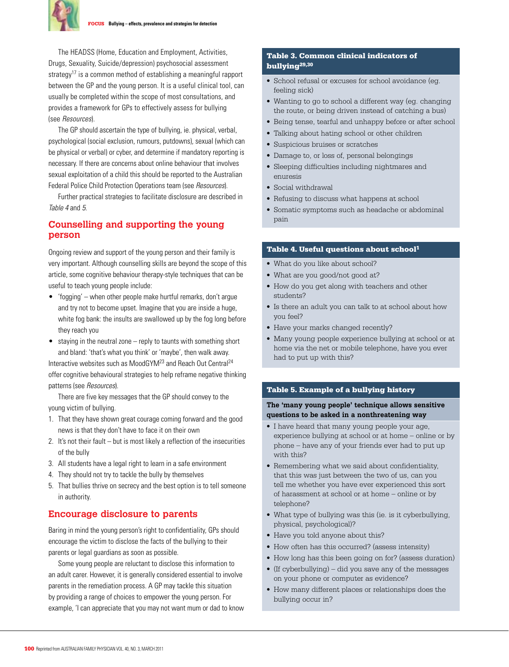

 The HEADSS (Home, Education and Employment, Activities, Drugs, Sexuality, Suicide/depression) psychosocial assessment strategy<sup>17</sup> is a common method of establishing a meaningful rapport between the GP and the young person. It is a useful clinical tool, can usually be completed within the scope of most consultations, and provides a framework for GPs to effectively assess for bullying (see Resources).

 The GP should ascertain the type of bullying, ie. physical, verbal, psychological (social exclusion, rumours, putdowns), sexual (which can be physical or verbal) or cyber, and determine if mandatory reporting is necessary. If there are concerns about online behaviour that involves sexual exploitation of a child this should be reported to the Australian Federal Police Child Protection Operations team (see *Resources*).

Further practical strategies to facilitate disclosure are described in Table 4 and 5.

## **Counselling and supporting the young person**

Ongoing review and support of the young person and their family is very important. Although counselling skills are beyond the scope of this article, some cognitive behaviour therapy-style techniques that can be useful to teach young people include:

- $\bullet$  'fogging' when other people make hurtful remarks, don't argue and try not to become upset. Imagine that you are inside a huge, white fog bank: the insults are swallowed up by the fog long before they reach you
- staying in the neutral zone reply to taunts with something short and bland: 'that's what you think' or 'maybe', then walk away. Interactive websites such as MoodGYM23 and Reach Out Central24 offer cognitive behavioural strategies to help reframe negative thinking

patterns (see Resources).

 There are five key messages that the GP should convey to the young victim of bullying.

- 1. That they have shown great courage coming forward and the good news is that they don't have to face it on their own
- 2. It's not their fault but is most likely a reflection of the insecurities of the bully
- 3. All students have a legal right to learn in a safe environment
- 4. They should not try to tackle the bully by themselves
- 5. That bullies thrive on secrecy and the best option is to tell someone in authority.

## **Encourage disclosure to parents**

Baring in mind the young person's right to confidentiality, GPs should encourage the victim to disclose the facts of the bullying to their parents or legal guardians as soon as possible.

 Some young people are reluctant to disclose this information to an adult carer. However, it is generally considered essential to involve parents in the remediation process. A GP may tackle this situation by providing a range of choices to empower the young person. For example, 'I can appreciate that you may not want mum or dad to know

## Table 3. Common clinical indicators of bullying29,30

- School refusal or excuses for school avoidance (eg. feeling sick)
- Wanting to go to school a different way (eg. changing the route, or being driven instead of catching a bus)
- Being tense, tearful and unhappy before or after school
- Talking about hating school or other children
- • Suspicious bruises or scratches
- Damage to, or loss of, personal belongings
- • Sleeping difficulties including nightmares and enuresis
- • Social withdrawal
- Refusing to discuss what happens at school
- Somatic symptoms such as headache or abdominal pain

### Table 4. Useful questions about school<sup>1</sup>

- What do you like about school?
- What are you good/not good at?
- How do you get along with teachers and other students?
- Is there an adult you can talk to at school about how you feel?
- Have your marks changed recently?
- Many young people experience bullying at school or at home via the net or mobile telephone, have you ever had to put up with this?

### Table 5. Example of a bullying history

### **The 'many young people' technique allows sensitive questions to be asked in a nonthreatening way**

- I have heard that many young people your age, experience bullying at school or at home – online or by phone – have any of your friends ever had to put up with this?
- Remembering what we said about confidentiality, that this was just between the two of us, can you tell me whether you have ever experienced this sort of harassment at school or at home – online or by telephone?
- • What type of bullying was this (ie. is it cyberbullying, physical, psychological)?
- Have you told anyone about this?
- How often has this occurred? (assess intensity)
- How long has this been going on for? (assess duration)
- (If cyberbullying) did you save any of the messages on your phone or computer as evidence?
- How many different places or relationships does the bullying occur in?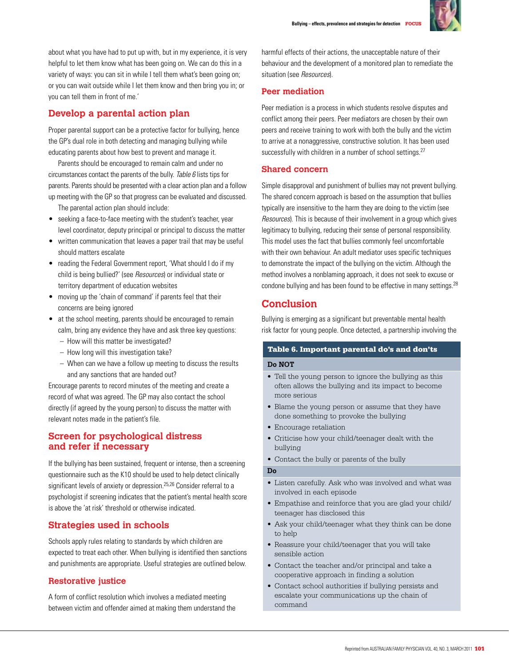

about what you have had to put up with, but in my experience, it is very helpful to let them know what has been going on. We can do this in a variety of ways: you can sit in while I tell them what's been going on; or you can wait outside while I let them know and then bring you in; or you can tell them in front of me.'

# **Develop a parental action plan**

Proper parental support can be a protective factor for bullying, hence the GP's dual role in both detecting and managing bullying while educating parents about how best to prevent and manage it.

Parents should be encouraged to remain calm and under no circumstances contact the parents of the bully. Table 6 lists tips for parents. Parents should be presented with a clear action plan and a follow up meeting with the GP so that progress can be evaluated and discussed.

- The parental action plan should include:
- seeking a face-to-face meeting with the student's teacher, year level coordinator, deputy principal or principal to discuss the matter
- written communication that leaves a paper trail that may be useful should matters escalate
- reading the Federal Government report, 'What should I do if my child is being bullied?' (see Resources) or individual state or territory department of education websites
- moving up the 'chain of command' if parents feel that their concerns are being ignored
- at the school meeting, parents should be encouraged to remain calm, bring any evidence they have and ask three key questions:
	- How will this matter be investigated?
	- How long will this investigation take?
	- When can we have a follow up meeting to discuss the results and any sanctions that are handed out?

Encourage parents to record minutes of the meeting and create a record of what was agreed. The GP may also contact the school directly (if agreed by the young person) to discuss the matter with relevant notes made in the patient's file.

# **Screen for psychological distress and refer if necessary**

If the bullying has been sustained, frequent or intense, then a screening questionnaire such as the K10 should be used to help detect clinically significant levels of anxiety or depression.<sup>25,26</sup> Consider referral to a psychologist if screening indicates that the patient's mental health score is above the 'at risk' threshold or otherwise indicated.

# **Strategies used in schools**

Schools apply rules relating to standards by which children are expected to treat each other. When bullying is identified then sanctions and punishments are appropriate. Useful strategies are outlined below.

# **Restorative justice**

A form of conflict resolution which involves a mediated meeting between victim and offender aimed at making them understand the harmful effects of their actions, the unacceptable nature of their behaviour and the development of a monitored plan to remediate the situation (see Resources).

# **Peer mediation**

Peer mediation is a process in which students resolve disputes and conflict among their peers. Peer mediators are chosen by their own peers and receive training to work with both the bully and the victim to arrive at a nonaggressive, constructive solution. It has been used successfully with children in a number of school settings.<sup>27</sup>

## **Shared concern**

Simple disapproval and punishment of bullies may not prevent bullying. The shared concern approach is based on the assumption that bullies typically are insensitive to the harm they are doing to the victim (see Resources). This is because of their involvement in a group which gives legitimacy to bullying, reducing their sense of personal responsibility. This model uses the fact that bullies commonly feel uncomfortable with their own behaviour. An adult mediator uses specific techniques to demonstrate the impact of the bullying on the victim. Although the method involves a nonblaming approach, it does not seek to excuse or condone bullying and has been found to be effective in many settings.<sup>28</sup>

# **Conclusion**

Bullying is emerging as a significant but preventable mental health risk factor for young people. Once detected, a partnership involving the

## Table 6. Important parental do's and don'ts

### **Do NOT**

- Tell the young person to ignore the bullying as this often allows the bullying and its impact to become more serious
- Blame the young person or assume that they have done something to provoke the bullying
- Encourage retaliation
- • Criticise how your child/teenager dealt with the bullying
- Contact the bully or parents of the bully

### **Do**

- Listen carefully. Ask who was involved and what was involved in each episode
- • Empathise and reinforce that you are glad your child/ teenager has disclosed this
- Ask your child/teenager what they think can be done to help
- Reassure your child/teenager that you will take sensible action
- Contact the teacher and/or principal and take a cooperative approach in finding a solution
- • Contact school authorities if bullying persists and escalate your communications up the chain of command